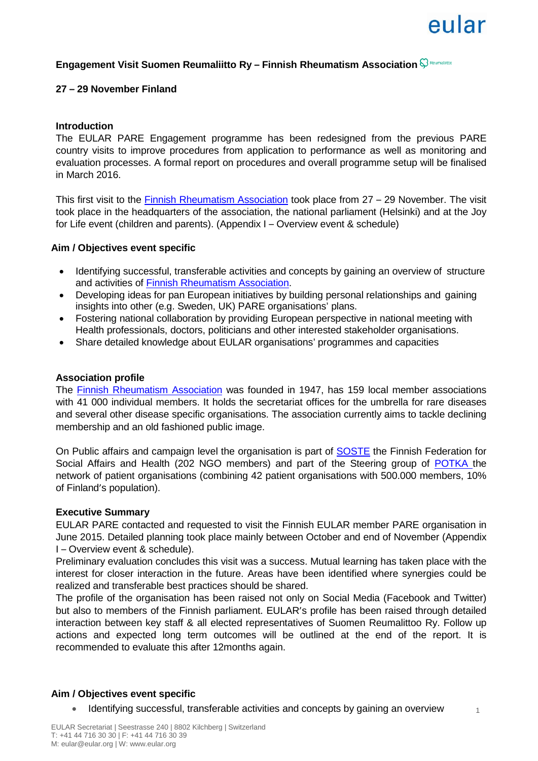1

# **Engagement Visit Suomen Reumaliitto Ry – Finnish Rheumatism Association**

# **27 – 29 November Finland**

## **Introduction**

The EULAR PARE Engagement programme has been redesigned from the previous PARE country visits to improve procedures from application to performance as well as monitoring and evaluation processes. A formal report on procedures and overall programme setup will be finalised in March 2016.

This first visit to the [Finnish Rheumatism Association](http://www.reumaliitto.fi/) took place from 27 – 29 November. The visit took place in the headquarters of the association, the national parliament (Helsinki) and at the Joy for Life event (children and parents). (Appendix I – Overview event & schedule)

## **Aim / Objectives event specific**

- Identifying successful, transferable activities and concepts by gaining an overview of structure and activities of [Finnish Rheumatism Association.](http://www.reumaliitto.fi/)
- Developing ideas for pan European initiatives by building personal relationships and gaining insights into other (e.g. Sweden, UK) PARE organisations' plans.
- Fostering national collaboration by providing European perspective in national meeting with Health professionals, doctors, politicians and other interested stakeholder organisations.
- Share detailed knowledge about EULAR organisations' programmes and capacities

#### **Association profile**

The **Finnish Rheumatism Association** was founded in 1947, has 159 local member associations with 41 000 individual members. It holds the secretariat offices for the umbrella for rare diseases and several other disease specific organisations. The association currently aims to tackle declining membership and an old fashioned public image.

On Public affairs and campaign level the organisation is part of [SOSTE](http://www.eu-patient.eu/globalassets/events/2015_ras/presentations/plenary---sari-tervonen---national-coalition-potka-and-soste.pdf) the Finnish Federation for Social Affairs and Health (202 NGO members) and part of the Steering group of [POTKA t](http://www.eu-patient.eu/globalassets/events/2015_ras/presentations/plenary---sari-tervonen---national-coalition-potka-and-soste.pdf)he network of patient organisations (combining 42 patient organisations with 500.000 members, 10% of Finland's population).

#### **Executive Summary**

EULAR PARE contacted and requested to visit the Finnish EULAR member PARE organisation in June 2015. Detailed planning took place mainly between October and end of November (Appendix I – Overview event & schedule).

Preliminary evaluation concludes this visit was a success. Mutual learning has taken place with the interest for closer interaction in the future. Areas have been identified where synergies could be realized and transferable best practices should be shared.

The profile of the organisation has been raised not only on Social Media (Facebook and Twitter) but also to members of the Finnish parliament. EULAR's profile has been raised through detailed interaction between key staff & all elected representatives of Suomen Reumalittoo Ry. Follow up actions and expected long term outcomes will be outlined at the end of the report. It is recommended to evaluate this after 12months again.

## **Aim / Objectives event specific**

• Identifying successful, transferable activities and concepts by gaining an overview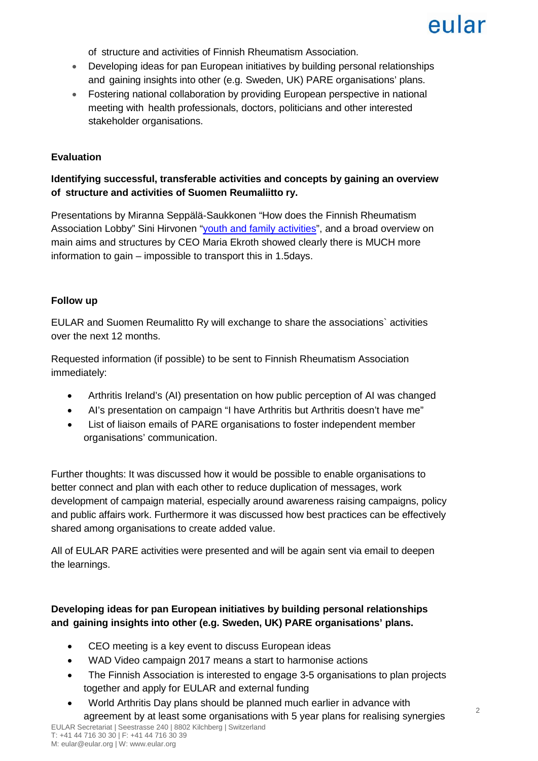eular

of structure and activities of Finnish Rheumatism Association.

- Developing ideas for pan European initiatives by building personal relationships and gaining insights into other (e.g. Sweden, UK) PARE organisations' plans.
- Fostering national collaboration by providing European perspective in national meeting with health professionals, doctors, politicians and other interested stakeholder organisations.

# **Evaluation**

# **Identifying successful, transferable activities and concepts by gaining an overview of structure and activities of Suomen Reumaliitto ry.**

Presentations by Miranna Seppälä-Saukkonen "How does the Finnish Rheumatism Association Lobby" Sini Hirvonen ["youth and family activities"](https://prezi.com/zoagmewf2elq/families-in-the-finnish-rheumatism-association/), and a broad overview on main aims and structures by CEO Maria Ekroth showed clearly there is MUCH more information to gain – impossible to transport this in 1.5days.

## **Follow up**

EULAR and Suomen Reumalitto Ry will exchange to share the associations` activities over the next 12 months.

Requested information (if possible) to be sent to Finnish Rheumatism Association immediately:

- Arthritis Ireland's (AI) presentation on how public perception of AI was changed
- AI's presentation on campaign "I have Arthritis but Arthritis doesn't have me"
- List of liaison emails of PARE organisations to foster independent member organisations' communication.

Further thoughts: It was discussed how it would be possible to enable organisations to better connect and plan with each other to reduce duplication of messages, work development of campaign material, especially around awareness raising campaigns, policy and public affairs work. Furthermore it was discussed how best practices can be effectively shared among organisations to create added value.

All of EULAR PARE activities were presented and will be again sent via email to deepen the learnings.

# **Developing ideas for pan European initiatives by building personal relationships and gaining insights into other (e.g. Sweden, UK) PARE organisations' plans.**

- CEO meeting is a key event to discuss European ideas
- WAD Video campaign 2017 means a start to harmonise actions
- The Finnish Association is interested to engage 3-5 organisations to plan projects together and apply for EULAR and external funding
- World Arthritis Day plans should be planned much earlier in advance with agreement by at least some organisations with 5 year plans for realising synergies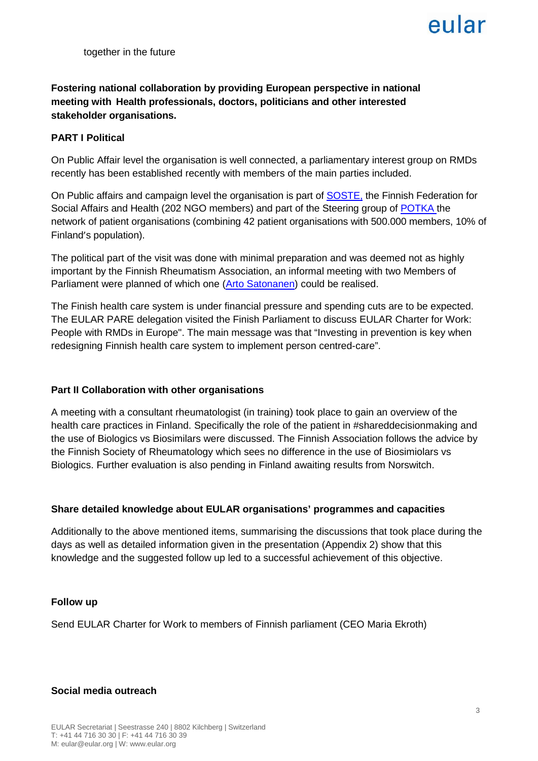# eular

together in the future

# **Fostering national collaboration by providing European perspective in national meeting with Health professionals, doctors, politicians and other interested stakeholder organisations.**

# **PART I Political**

On Public Affair level the organisation is well connected, a parliamentary interest group on RMDs recently has been established recently with members of the main parties included.

On Public affairs and campaign level the organisation is part of [SOSTE,](http://www.eu-patient.eu/globalassets/events/2015_ras/presentations/plenary---sari-tervonen---national-coalition-potka-and-soste.pdf) the Finnish Federation for Social Affairs and Health (202 NGO members) and part of the Steering group of [POTKA t](http://www.eu-patient.eu/globalassets/events/2015_ras/presentations/plenary---sari-tervonen---national-coalition-potka-and-soste.pdf)he network of patient organisations (combining 42 patient organisations with 500.000 members, 10% of Finland's population).

The political part of the visit was done with minimal preparation and was deemed not as highly important by the Finnish Rheumatism Association, an informal meeting with two Members of Parliament were planned of which one [\(Arto Satonanen\)](https://www.kokoomus.fi/en/facts/who-we-are/arto-satonen/) could be realised.

The Finish health care system is under financial pressure and spending cuts are to be expected. The EULAR PARE delegation visited the Finish Parliament to discuss EULAR Charter for Work: People with RMDs in Europe". The main message was that "Investing in prevention is key when redesigning Finnish health care system to implement person centred-care".

## **Part II Collaboration with other organisations**

A meeting with a consultant rheumatologist (in training) took place to gain an overview of the health care practices in Finland. Specifically the role of the patient in #shareddecisionmaking and the use of Biologics vs Biosimilars were discussed. The Finnish Association follows the advice by the Finnish Society of Rheumatology which sees no difference in the use of Biosimiolars vs Biologics. Further evaluation is also pending in Finland awaiting results from Norswitch.

## **Share detailed knowledge about EULAR organisations' programmes and capacities**

Additionally to the above mentioned items, summarising the discussions that took place during the days as well as detailed information given in the presentation (Appendix 2) show that this knowledge and the suggested follow up led to a successful achievement of this objective.

## **Follow up**

Send EULAR Charter for Work to members of Finnish parliament (CEO Maria Ekroth)

## **Social media outreach**